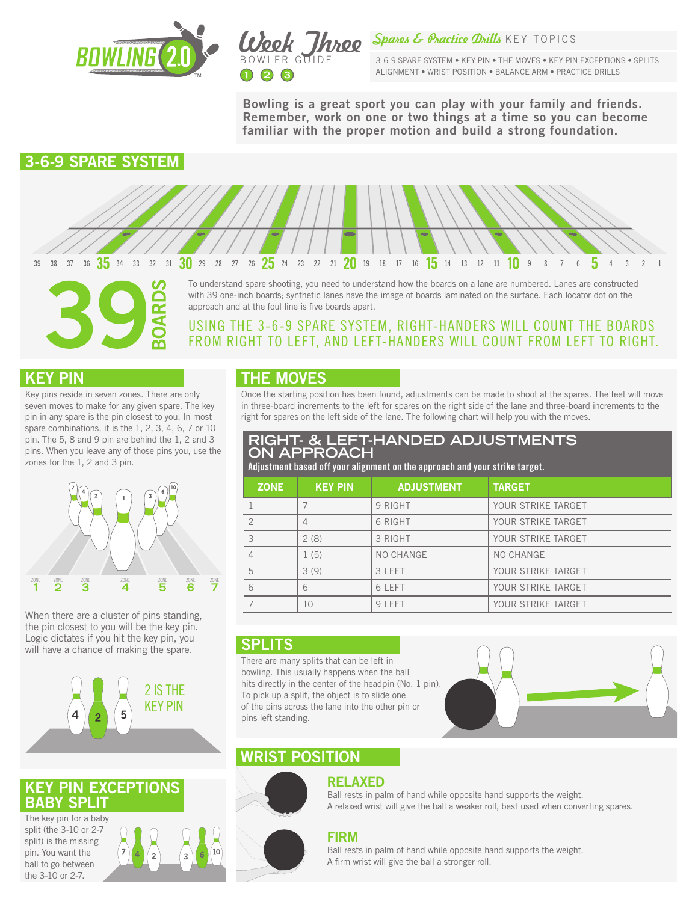



Spares & Practice Drills KEY TOPICS

3-6-9 SPARE SYSTEM • KEY PIN • THE MOVES • KEY PIN EXCEPTIONS • SPLITS ALIGNMENT • WRIST POSITION • BALANCE ARM • PRACTICE DRILLS

Bowling is a great sport you can play with your family and friends. Remember, work on one or two things at a time so you can become familiar with the proper motion and build a strong foundation.

# 3-6-9 SPARE SYSTEM



To understand spare shooting, you need to understand how the boards on a lane are numbered. Lanes are constructed with 39 one-inch boards; synthetic lanes have the image of boards laminated on the surface. Each locator dot on the approach and at the foul line is five boards apart.

## USING THE 3-6-9 SPARE SYSTEM, RIGHT-HANDERS WILL COUNT THE BOARDS FROM RIGHT TO LEFT, AND LEFT-HANDERS WILL COUNT FROM LEFT TO RIGHT.

## KEY PIN

Key pins reside in seven zones. There are only seven moves to make for any given spare. The key pin in any spare is the pin closest to you. In most spare combinations, it is the 1, 2, 3, 4, 6, 7 or 10 pin. The 5, 8 and 9 pin are behind the 1, 2 and 3 pins. When you leave any of those pins you, use the zones for the 1, 2 and 3 pin.

 $\overline{\mathbf{r}}$ 



When there are a cluster of pins standing, the pin closest to you will be the key pin. Logic dictates if you hit the key pin, you will have a chance of making the spare.



## **PIN EXCEPTIONS** BABY SPLI

The key pin for a baby split (the 3-10 or 2-7 split) is the missing pin. You want the ball to go between the 3-10 or 2-7.



## THE MOVES

Once the starting position has been found, adjustments can be made to shoot at the spares. The feet will move in three-board increments to the left for spares on the right side of the lane and three-board increments to the right for spares on the left side of the lane. The following chart will help you with the moves.

#### **RIGHT- & LEFT-HANDED ADJUSTMENTS ON APPROACH**

Adjustment based off your alignment on the approach and your strike target.

| <b>ZONE</b>    | <b>KEY PIN</b> | <b>ADJUSTMENT</b> | <b>TARGET</b>      |
|----------------|----------------|-------------------|--------------------|
|                |                | 9 RIGHT           | YOUR STRIKE TARGET |
| $\overline{2}$ | 4              | 6 RIGHT           | YOUR STRIKE TARGET |
| 3              | 2(8)           | 3 RIGHT           | YOUR STRIKE TARGET |
| $\overline{4}$ | 1(5)           | NO CHANGE         | NO CHANGE          |
| 5              | 3(9)           | 3 LEFT            | YOUR STRIKE TARGET |
| 6              | 6              | 6 LEFT            | YOUR STRIKE TARGET |
| $\overline{7}$ | 10             | 9 LEFT            | YOUR STRIKE TARGET |

### **SPLITS**

There are many splits that can be left in bowling. This usually happens when the ball hits directly in the center of the headpin (No. 1 pin). To pick up a split, the object is to slide one of the pins across the lane into the other pin or pins left standing.



# WRIST POSITION



# RELAXED

Ball rests in palm of hand while opposite hand supports the weight. A relaxed wrist will give the ball a weaker roll, best used when converting spares.

#### FIRM

Ball rests in palm of hand while opposite hand supports the weight. A firm wrist will give the ball a stronger roll.